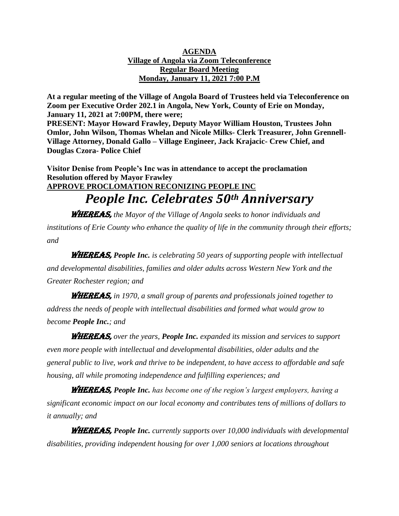#### **AGENDA Village of Angola via Zoom Teleconference Regular Board Meeting Monday, January 11, 2021 7:00 P.M**

**At a regular meeting of the Village of Angola Board of Trustees held via Teleconference on Zoom per Executive Order 202.1 in Angola, New York, County of Erie on Monday, January 11, 2021 at 7:00PM, there were;**

**PRESENT: Mayor Howard Frawley, Deputy Mayor William Houston, Trustees John Omlor, John Wilson, Thomas Whelan and Nicole Milks- Clerk Treasurer, John Grennell-Village Attorney, Donald Gallo – Village Engineer, Jack Krajacic- Crew Chief, and Douglas Czora- Police Chief**

**Visitor Denise from People's Inc was in attendance to accept the proclamation Resolution offered by Mayor Frawley APPROVE PROCLOMATION RECONIZING PEOPLE INC** *People Inc. Celebrates 50th Anniversary*

WHEREAS, *the Mayor of the Village of Angola seeks to honor individuals and institutions of Erie County who enhance the quality of life in the community through their efforts; and*

WHEREAS, *People Inc. is celebrating 50 years of supporting people with intellectual and developmental disabilities, families and older adults across Western New York and the Greater Rochester region; and*

WHEREAS, *in 1970, a small group of parents and professionals joined together to address the needs of people with intellectual disabilities and formed what would grow to become People Inc.; and*

WHEREAS, *over the years, People Inc. expanded its mission and services to support even more people with intellectual and developmental disabilities, older adults and the general public to live, work and thrive to be independent, to have access to affordable and safe housing, all while promoting independence and fulfilling experiences; and*

WHEREAS, *People Inc. has become one of the region's largest employers, having a significant economic impact on our local economy and contributes tens of millions of dollars to it annually; and*

WHEREAS, *People Inc. currently supports over 10,000 individuals with developmental disabilities, providing independent housing for over 1,000 seniors at locations throughout*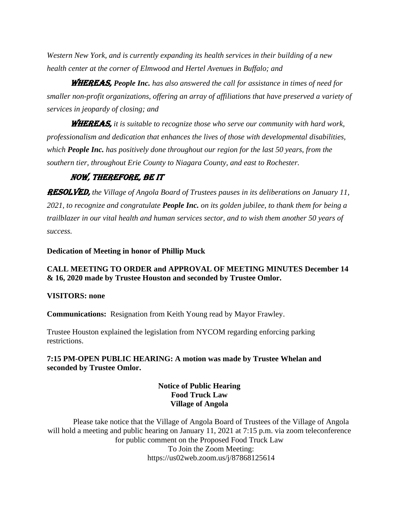*Western New York, and is currently expanding its health services in their building of a new health center at the corner of Elmwood and Hertel Avenues in Buffalo; and*

WHEREAS, *People Inc. has also answered the call for assistance in times of need for smaller non-profit organizations, offering an array of affiliations that have preserved a variety of services in jeopardy of closing; and*

WHEREAS, *it is suitable to recognize those who serve our community with hard work, professionalism and dedication that enhances the lives of those with developmental disabilities, which People Inc. has positively done throughout our region for the last 50 years, from the southern tier, throughout Erie County to Niagara County, and east to Rochester.*

## NOW, THEREFORE, BE IT

RESOLVED, *the Village of Angola Board of Trustees pauses in its deliberations on January 11, 2021, to recognize and congratulate People Inc. on its golden jubilee, to thank them for being a trailblazer in our vital health and human services sector, and to wish them another 50 years of success.*

#### **Dedication of Meeting in honor of Phillip Muck**

### **CALL MEETING TO ORDER and APPROVAL OF MEETING MINUTES December 14 & 16, 2020 made by Trustee Houston and seconded by Trustee Omlor.**

#### **VISITORS: none**

**Communications:** Resignation from Keith Young read by Mayor Frawley.

Trustee Houston explained the legislation from NYCOM regarding enforcing parking restrictions.

### **7:15 PM-OPEN PUBLIC HEARING: A motion was made by Trustee Whelan and seconded by Trustee Omlor.**

#### **Notice of Public Hearing Food Truck Law Village of Angola**

Please take notice that the Village of Angola Board of Trustees of the Village of Angola will hold a meeting and public hearing on January 11, 2021 at 7:15 p.m. via zoom teleconference for public comment on the Proposed Food Truck Law To Join the Zoom Meeting: https://us02web.zoom.us/j/87868125614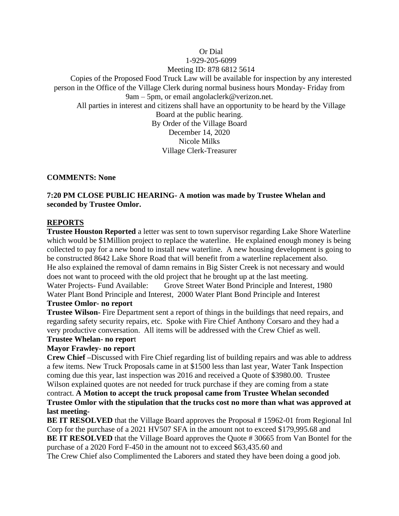## Or Dial 1-929-205-6099 Meeting ID: 878 6812 5614 Copies of the Proposed Food Truck Law will be available for inspection by any interested person in the Office of the Village Clerk during normal business hours Monday- Friday from 9am – 5pm, or email angolaclerk@verizon.net. All parties in interest and citizens shall have an opportunity to be heard by the Village Board at the public hearing. By Order of the Village Board December 14, 2020 Nicole Milks Village Clerk-Treasurer

### **COMMENTS: None**

## **7:20 PM CLOSE PUBLIC HEARING- A motion was made by Trustee Whelan and seconded by Trustee Omlor.**

### **REPORTS**

**Trustee Houston Reported** a letter was sent to town supervisor regarding Lake Shore Waterline which would be \$1Million project to replace the waterline. He explained enough money is being collected to pay for a new bond to install new waterline. A new housing development is going to be constructed 8642 Lake Shore Road that will benefit from a waterline replacement also. He also explained the removal of damn remains in Big Sister Creek is not necessary and would does not want to proceed with the old project that he brought up at the last meeting. Water Projects- Fund Available: Grove Street Water Bond Principle and Interest, 1980 Water Plant Bond Principle and Interest, 2000 Water Plant Bond Principle and Interest

## **Trustee Omlor- no report**

**Trustee Wilson-** Fire Department sent a report of things in the buildings that need repairs, and regarding safety security repairs, etc. Spoke with Fire Chief Anthony Corsaro and they had a very productive conversation. All items will be addressed with the Crew Chief as well.

#### **Trustee Whelan- no repor**t

#### **Mayor Frawley- no report**

**Crew Chief –**Discussed with Fire Chief regarding list of building repairs and was able to address a few items. New Truck Proposals came in at \$1500 less than last year, Water Tank Inspection coming due this year, last inspection was 2016 and received a Quote of \$3980.00. Trustee Wilson explained quotes are not needed for truck purchase if they are coming from a state contract. **A Motion to accept the truck proposal came from Trustee Whelan seconded Trustee Omlor with the stipulation that the trucks cost no more than what was approved at** 

#### **last meeting-**

**BE IT RESOLVED** that the Village Board approves the Proposal # 15962-01 from Regional Inl Corp for the purchase of a 2021 HV507 SFA in the amount not to exceed \$179,995.68 and **BE IT RESOLVED** that the Village Board approves the Quote #30665 from Van Bontel for the purchase of a 2020 Ford F-450 in the amount not to exceed \$63,435.60 and

The Crew Chief also Complimented the Laborers and stated they have been doing a good job.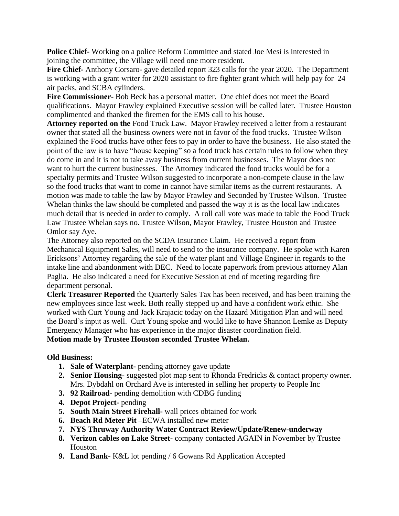**Police Chief-** Working on a police Reform Committee and stated Joe Mesi is interested in joining the committee, the Village will need one more resident.

**Fire Chief-** Anthony Corsaro- gave detailed report 323 calls for the year 2020. The Department is working with a grant writer for 2020 assistant to fire fighter grant which will help pay for 24 air packs, and SCBA cylinders.

**Fire Commissioner-** Bob Beck has a personal matter. One chief does not meet the Board qualifications. Mayor Frawley explained Executive session will be called later. Trustee Houston complimented and thanked the firemen for the EMS call to his house.

**Attorney reported on the** Food Truck Law. Mayor Frawley received a letter from a restaurant owner that stated all the business owners were not in favor of the food trucks. Trustee Wilson explained the Food trucks have other fees to pay in order to have the business. He also stated the point of the law is to have "house keeping" so a food truck has certain rules to follow when they do come in and it is not to take away business from current businesses. The Mayor does not want to hurt the current businesses. The Attorney indicated the food trucks would be for a specialty permits and Trustee Wilson suggested to incorporate a non-compete clause in the law so the food trucks that want to come in cannot have similar items as the current restaurants. A motion was made to table the law by Mayor Frawley and Seconded by Trustee Wilson. Trustee Whelan thinks the law should be completed and passed the way it is as the local law indicates much detail that is needed in order to comply. A roll call vote was made to table the Food Truck Law Trustee Whelan says no. Trustee Wilson, Mayor Frawley, Trustee Houston and Trustee Omlor say Aye.

The Attorney also reported on the SCDA Insurance Claim. He received a report from Mechanical Equipment Sales, will need to send to the insurance company. He spoke with Karen Ericksons' Attorney regarding the sale of the water plant and Village Engineer in regards to the intake line and abandonment with DEC. Need to locate paperwork from previous attorney Alan Paglia. He also indicated a need for Executive Session at end of meeting regarding fire department personal.

**Clerk Treasurer Reported** the Quarterly Sales Tax has been received, and has been training the new employees since last week. Both really stepped up and have a confident work ethic. She worked with Curt Young and Jack Krajacic today on the Hazard Mitigation Plan and will need the Board's input as well. Curt Young spoke and would like to have Shannon Lemke as Deputy Emergency Manager who has experience in the major disaster coordination field. **Motion made by Trustee Houston seconded Trustee Whelan.**

# **Old Business:**

- **1. Sale of Waterplant-** pending attorney gave update
- **2. Senior Housing-** suggested plot map sent to Rhonda Fredricks & contact property owner. Mrs. Dybdahl on Orchard Ave is interested in selling her property to People Inc
- **3. 92 Railroad-** pending demolition with CDBG funding
- **4. Depot Project-** pending
- **5. South Main Street Firehall-** wall prices obtained for work
- **6. Beach Rd Meter Pit –**ECWA installed new meter
- **7. NYS Thruway Authority Water Contract Review/Update/Renew-underway**
- **8. Verizon cables on Lake Street-** company contacted AGAIN in November by Trustee Houston
- **9. Land Bank-** K&L lot pending / 6 Gowans Rd Application Accepted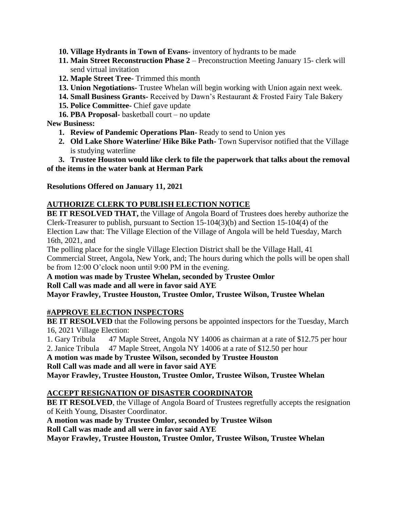- **10. Village Hydrants in Town of Evans-** inventory of hydrants to be made
- **11. Main Street Reconstruction Phase 2** Preconstruction Meeting January 15- clerk will send virtual invitation
- **12. Maple Street Tree-** Trimmed this month
- **13. Union Negotiations-** Trustee Whelan will begin working with Union again next week.
- **14. Small Business Grants-** Received by Dawn's Restaurant & Frosted Fairy Tale Bakery
- **15. Police Committee-** Chief gave update
- **16. PBA Proposal-** basketball court no update

## **New Business:**

- **1. Review of Pandemic Operations Plan-** Ready to send to Union yes
- **2. Old Lake Shore Waterline/ Hike Bike Path-** Town Supervisor notified that the Village is studying waterline

## **3. Trustee Houston would like clerk to file the paperwork that talks about the removal of the items in the water bank at Herman Park**

## **Resolutions Offered on January 11, 2021**

## **AUTHORIZE CLERK TO PUBLISH ELECTION NOTICE**

**BE IT RESOLVED THAT,** the Village of Angola Board of Trustees does hereby authorize the Clerk-Treasurer to publish, pursuant to Section 15-104(3)(b) and Section 15-104(4) of the Election Law that: The Village Election of the Village of Angola will be held Tuesday, March 16th, 2021, and

The polling place for the single Village Election District shall be the Village Hall, 41 Commercial Street, Angola, New York, and; The hours during which the polls will be open shall be from 12:00 O'clock noon until 9:00 PM in the evening.

**A motion was made by Trustee Whelan, seconded by Trustee Omlor Roll Call was made and all were in favor said AYE**

**Mayor Frawley, Trustee Houston, Trustee Omlor, Trustee Wilson, Trustee Whelan**

## **#APPROVE ELECTION INSPECTORS**

**BE IT RESOLVED** that the Following persons be appointed inspectors for the Tuesday, March 16, 2021 Village Election:

1. Gary Tribula 47 Maple Street, Angola NY 14006 as chairman at a rate of \$12.75 per hour 2. Janice Tribula 47 Maple Street, Angola NY 14006 at a rate of \$12.50 per hour

**A motion was made by Trustee Wilson, seconded by Trustee Houston** 

**Roll Call was made and all were in favor said AYE**

**Mayor Frawley, Trustee Houston, Trustee Omlor, Trustee Wilson, Trustee Whelan**

## **ACCEPT RESIGNATION OF DISASTER COORDINATOR**

**BE IT RESOLVED**, the Village of Angola Board of Trustees regretfully accepts the resignation of Keith Young, Disaster Coordinator.

**A motion was made by Trustee Omlor, seconded by Trustee Wilson** 

**Roll Call was made and all were in favor said AYE**

**Mayor Frawley, Trustee Houston, Trustee Omlor, Trustee Wilson, Trustee Whelan**